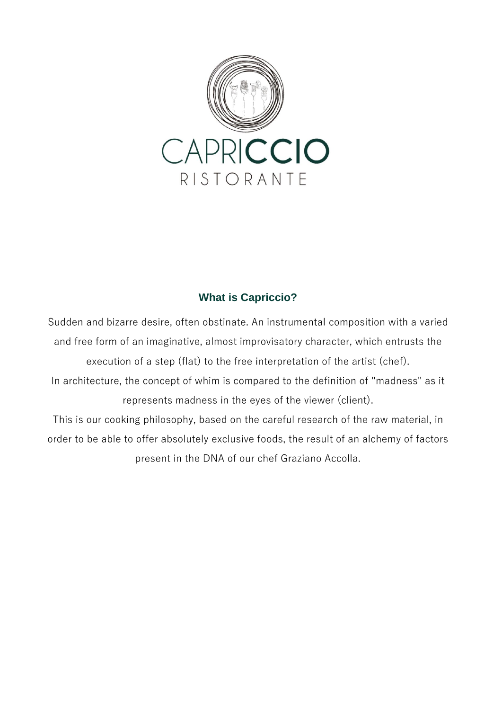

### **What is Capriccio?**

Sudden and bizarre desire, often obstinate. An instrumental composition with a varied and free form of an imaginative, almost improvisatory character, which entrusts the execution of a step (flat) to the free interpretation of the artist (chef). In architecture, the concept of whim is compared to the definition of "madness" as it represents madness in the eyes of the viewer (client).

This is our cooking philosophy, based on the careful research of the raw material, in order to be able to offer absolutely exclusive foods, the result of an alchemy of factors present in the DNA of our chef Graziano Accolla.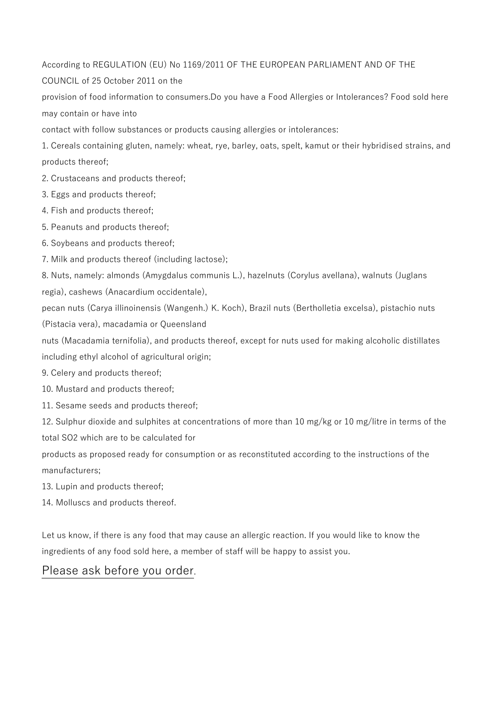According to REGULATION (EU) No 1169/2011 OF THE EUROPEAN PARLIAMENT AND OF THE

COUNCIL of 25 October 2011 on the

provision of food information to consumers.Do you have a Food Allergies or Intolerances? Food sold here may contain or have into

contact with follow substances or products causing allergies or intolerances:

1. Cereals containing gluten, namely: wheat, rye, barley, oats, spelt, kamut or their hybridised strains, and products thereof;

2. Crustaceans and products thereof;

- 3. Eggs and products thereof;
- 4. Fish and products thereof;
- 5. Peanuts and products thereof;
- 6. Soybeans and products thereof;
- 7. Milk and products thereof (including lactose);

8. Nuts, namely: almonds (Amygdalus communis L.), hazelnuts (Corylus avellana), walnuts (Juglans regia), cashews (Anacardium occidentale),

pecan nuts (Carya illinoinensis (Wangenh.) K. Koch), Brazil nuts (Bertholletia excelsa), pistachio nuts (Pistacia vera), macadamia or Queensland

nuts (Macadamia ternifolia), and products thereof, except for nuts used for making alcoholic distillates including ethyl alcohol of agricultural origin;

9. Celery and products thereof;

10. Mustard and products thereof;

11. Sesame seeds and products thereof;

12. Sulphur dioxide and sulphites at concentrations of more than 10 mg/kg or 10 mg/litre in terms of the total SO2 which are to be calculated for

products as proposed ready for consumption or as reconstituted according to the instructions of the manufacturers;

13. Lupin and products thereof;

14. Molluscs and products thereof.

Let us know, if there is any food that may cause an allergic reaction. If you would like to know the ingredients of any food sold here, a member of staff will be happy to assist you.

### Please ask before you order.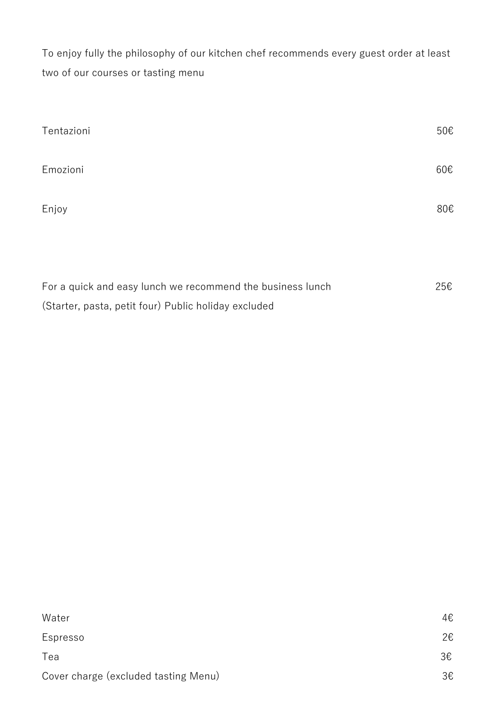To enjoy fully the philosophy of our kitchen chef recommends every guest order at least two of our courses or tasting menu

| Tentazioni                                                 | 50€ |
|------------------------------------------------------------|-----|
| Emozioni                                                   | 60€ |
| Enjoy                                                      | 80€ |
| For a quick and easy lunch we recommend the business lunch | 25€ |
| (Starter, pasta, petit four) Public holiday excluded       |     |

| Water                                | 4€ |
|--------------------------------------|----|
| Espresso                             | 2€ |
| Tea                                  | 3€ |
| Cover charge (excluded tasting Menu) | 3€ |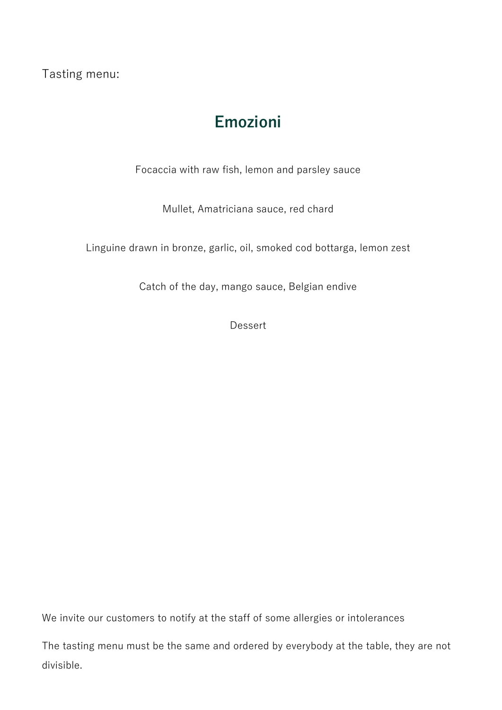Tasting menu:

## **Emozioni**

Focaccia with raw fish, lemon and parsley sauce

Mullet, Amatriciana sauce, red chard

Linguine drawn in bronze, garlic, oil, smoked cod bottarga, lemon zest

Catch of the day, mango sauce, Belgian endive

Dessert

We invite our customers to notify at the staff of some allergies or intolerances

The tasting menu must be the same and ordered by everybody at the table, they are not divisible.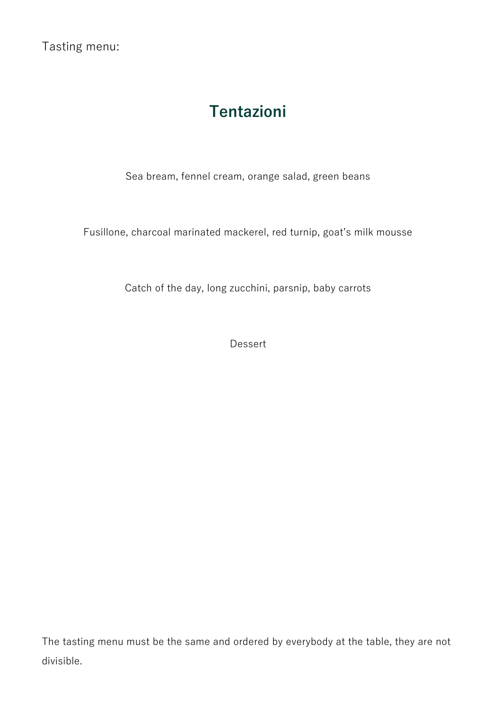Tasting menu:

# **Tentazioni**

Sea bream, fennel cream, orange salad, green beans

Fusillone, charcoal marinated mackerel, red turnip, goat's milk mousse

Catch of the day, long zucchini, parsnip, baby carrots

Dessert

The tasting menu must be the same and ordered by everybody at the table, they are not divisible.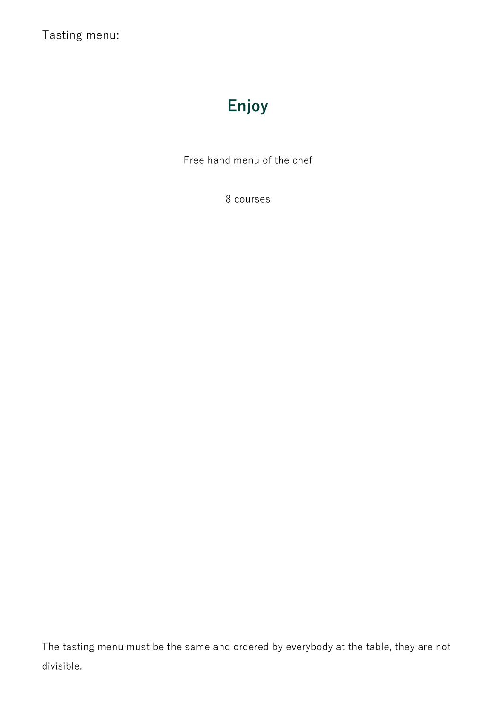Tasting menu:

# **Enjoy**

Free hand menu of the chef

8 courses

The tasting menu must be the same and ordered by everybody at the table, they are not divisible.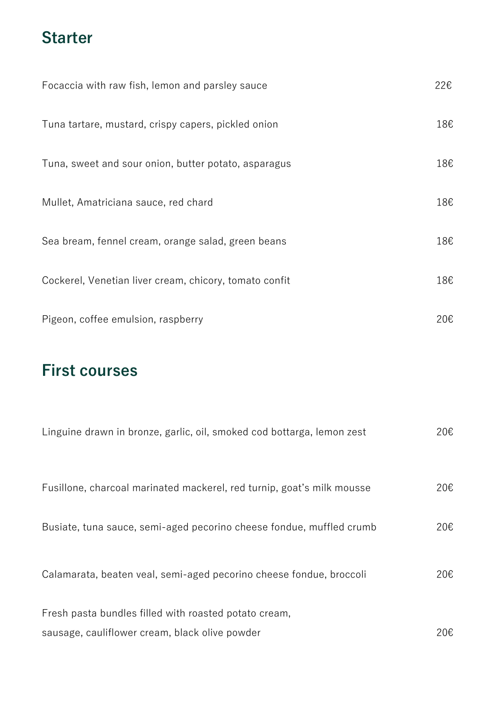## **Starter**

| Focaccia with raw fish, lemon and parsley sauce        | 22€ |
|--------------------------------------------------------|-----|
| Tuna tartare, mustard, crispy capers, pickled onion    | 18€ |
| Tuna, sweet and sour onion, butter potato, asparagus   | 18€ |
| Mullet, Amatriciana sauce, red chard                   | 18€ |
| Sea bream, fennel cream, orange salad, green beans     | 18€ |
| Cockerel, Venetian liver cream, chicory, tomato confit | 18€ |
| Pigeon, coffee emulsion, raspberry                     | 20€ |

# **First courses**

| Linguine drawn in bronze, garlic, oil, smoked cod bottarga, lemon zest                                  | 20€ |
|---------------------------------------------------------------------------------------------------------|-----|
| Fusillone, charcoal marinated mackerel, red turnip, goat's milk mousse                                  | 20€ |
| Busiate, tuna sauce, semi-aged pecorino cheese fondue, muffled crumb                                    | 20€ |
| Calamarata, beaten veal, semi-aged pecorino cheese fondue, broccoli                                     | 20€ |
| Fresh pasta bundles filled with roasted potato cream,<br>sausage, cauliflower cream, black olive powder | 20€ |